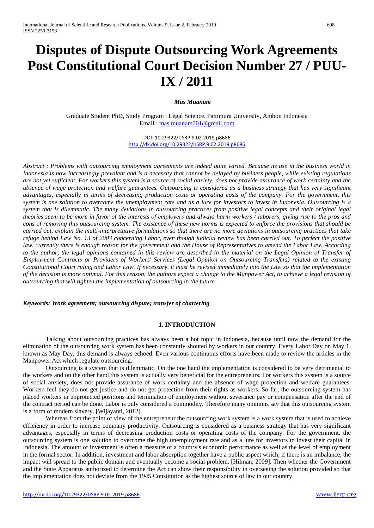# **Disputes of Dispute Outsourcing Work Agreements Post Constitutional Court Decision Number 27 / PUU-IX / 2011**

#### *Mas Muanam*

Graduate Student PhD, Study Program : Legal Science. Pattimura University, Ambon Indonesia Email : [mas.muanam001@gmail.com](mailto:mas.muanam001@gmail.com)

> DOI: 10.29322/IJSRP.9.02.2019.p8686 <http://dx.doi.org/10.29322/IJSRP.9.02.2019.p8686>

*Abstract : Problems with outsourcing employment agreements are indeed quite varied. Because its use in the business world in Indonesia is now increasingly prevalent and is a necessity that cannot be delayed by business people, while existing regulations are not yet sufficient. For workers this system is a source of social anxiety, does not provide assurance of work certainty and the absence of wage protection and welfare guarantees. Outsourcing is considered as a business strategy that has very significant advantages, especially in terms of decreasing production costs or operating costs of the company. For the government, this system is one solution to overcome the unemployment rate and as a lure for investors to invest in Indonesia. Outsourcing is a system that is dilemmatic. The many deviations in outsourcing practices from positive legal concepts and their original legal theories seem to be more in favor of the interests of employers and always harm workers / laborers, giving rise to the pros and cons of removing this outsourcing system. The existence of these new norms is expected to enforce the provisions that should be carried out, explain the multi-interpretative formulations so that there are no more deviations in outsourcing practices that take refuge behind Law No. 13 of 2003 concerning Labor, even though judicial review has been carried out. To perfect the positive law, currently there is enough reason for the government and the House of Representatives to amend the Labor Law. According*  to the author, the legal opinions contained in this review are described in the material on the Legal Opinion of Transfer of *Employment Contracts or Providers of Workers' Services (Legal Opinion on Outsourcing Transfers) related to the existing Constitutional Court ruling and Labor Law. If necessary, it must be revised immediately into the Law so that the implementation of the decision is more optimal. For this reason, the authors expect a change to the Manpower Act, to achieve a legal revision of outsourcing that will tighten the implementation of outsourcing in the future.*

## *Keywords: Work agreement; outsourcing dispute; transfer of chartering*

## **1. INTRODUCTION**

Talking about outsourcing practices has always been a hot topic in Indonesia, because until now the demand for the elimination of the outsourcing work system has been constantly shouted by workers in our country. Every Labor Day on May 1, known as May Day, this demand is always echoed. Even various continuous efforts have been made to review the articles in the Manpower Act which regulate outsourcing.

Outsourcing is a system that is dilemmatic. On the one hand the implementation is considered to be very detrimental to the workers and on the other hand this system is actually very beneficial for the entrepreneurs. For workers this system is a source of social anxiety, does not provide assurance of work certainty and the absence of wage protection and welfare guarantees. Workers feel they do not get justice and do not get protection from their rights as workers. So far, the outsourcing system has placed workers in unprotected positions and termination of employment without severance pay or compensation after the end of the contract period can be done. Labor is only considered a commodity. Therefore many opinions say that this outsourcing system is a form of modern slavery. [Wijayanti, 2012].

Whereas from the point of view of the entrepreneur the outsourcing work system is a work system that is used to achieve efficiency in order to increase company productivity. Outsourcing is considered as a business strategy that has very significant advantages, especially in terms of decreasing production costs or operating costs of the company. For the government, the outsourcing system is one solution to overcome the high unemployment rate and as a lure for investors to invest their capital in Indonesia. The amount of investment is often a measure of a country's economic performance as well as the level of employment in the formal sector. In addition, investment and labor absorption together have a public aspect which, if there is an imbalance, the impact will spread to the public domain and eventually become a social problem. [Hilman, 2009]. Then whether the Government and the State Apparatus authorized to determine the Act can show their responsibility in overseeing the solution provided so that the implementation does not deviate from the 1945 Constitution as the highest source of law in our country.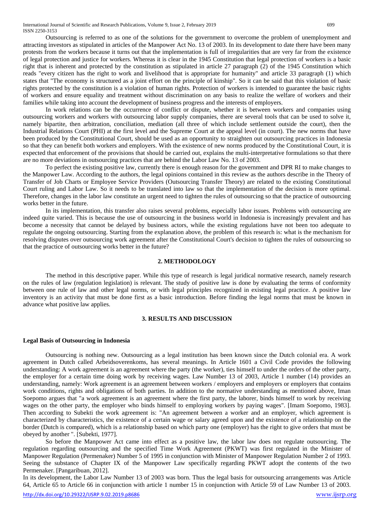Outsourcing is referred to as one of the solutions for the government to overcome the problem of unemployment and attracting investors as stipulated in articles of the Manpower Act No. 13 of 2003. In its development to date there have been many protests from the workers because it turns out that the implementation is full of irregularities that are very far from the existence of legal protection and justice for workers. Whereas it is clear in the 1945 Constitution that legal protection of workers is a basic right that is inherent and protected by the constitution as stipulated in article 27 paragraph (2) of the 1945 Constitution which reads "every citizen has the right to work and livelihood that is appropriate for humanity" and article 33 paragraph (1) which states that "The economy is structured as a joint effort on the principle of kinship". So it can be said that this violation of basic rights protected by the constitution is a violation of human rights. Protection of workers is intended to guarantee the basic rights of workers and ensure equality and treatment without discrimination on any basis to realize the welfare of workers and their families while taking into account the development of business progress and the interests of employers.

In work relations can be the occurrence of conflict or dispute, whether it is between workers and companies using outsourcing workers and workers with outsourcing labor supply companies, there are several tools that can be used to solve it, namely bipartite, then arbitration, conciliation, mediation (all three of which include settlement outside the court), then the Industrial Relations Court (PHI) at the first level and the Supreme Court at the appeal level (in court). The new norms that have been produced by the Constitutional Court, should be used as an opportunity to straighten out outsourcing practices in Indonesia so that they can benefit both workers and employers. With the existence of new norms produced by the Constitutional Court, it is expected that enforcement of the provisions that should be carried out, explains the multi-interpretative formulations so that there are no more deviations in outsourcing practices that are behind the Labor Law No. 13 of 2003.

To perfect the existing positive law, currently there is enough reason for the government and DPR RI to make changes to the Manpower Law. According to the authors, the legal opinions contained in this review as the authors describe in the Theory of Transfer of Job Charts or Employee Service Providers (Outsourcing Transfer Theory) are related to the existing Constitutional Court ruling and Labor Law. So it needs to be translated into law so that the implementation of the decision is more optimal. Therefore, changes in the labor law constitute an urgent need to tighten the rules of outsourcing so that the practice of outsourcing works better in the future.

In its implementation, this transfer also raises several problems, especially labor issues. Problems with outsourcing are indeed quite varied. This is because the use of outsourcing in the business world in Indonesia is increasingly prevalent and has become a necessity that cannot be delayed by business actors, while the existing regulations have not been too adequate to regulate the ongoing outsourcing. Starting from the explanation above, the problem of this research is: what is the mechanism for resolving disputes over outsourcing work agreement after the Constitutional Court's decision to tighten the rules of outsourcing so that the practice of outsourcing works better in the future?

## **2. METHODOLOGY**

The method in this descriptive paper. While this type of research is legal juridical normative research, namely research on the rules of law (regulation legislation) is relevant. The study of positive law is done by evaluating the terms of conformity between one rule of law and other legal norms, or with legal principles recognized in existing legal practice. A positive law inventory is an activity that must be done first as a basic introduction. Before finding the legal norms that must be known in advance what positive law applies.

## **3. RESULTS AND DISCUSSION**

#### **Legal Basis of Outsourcing in Indonesia**

Outsourcing is nothing new. Outsourcing as a legal institution has been known since the Dutch colonial era. A work agreement in Dutch called Arbeidsoverenkoms, has several meanings. In Article 1601 a Civil Code provides the following understanding: A work agreement is an agreement where the party (the worker), ties himself to under the orders of the other party, the employer for a certain time doing work by receiving wages. Law Number 13 of 2003, Article 1 number (14) provides an understanding, namely: Work agreement is an agreement between workers / employers and employers or employers that contains work conditions, rights and obligations of both parties. In addition to the normative understanding as mentioned above, Iman Soepomo argues that "a work agreement is an agreement where the first party, the laborer, binds himself to work by receiving wages on the other party, the employer who binds himself to employing workers by paying wages". [Imam Soepomo, 1983]. Then according to Subekti the work agreement is: "An agreement between a worker and an employer, which agreement is characterized by characteristics, the existence of a certain wage or salary agreed upon and the existence of a relationship on the border (Dutch is compared), which is a relationship based on which party one (employer) has the right to give orders that must be obeyed by another ". [Subekti, 1977].

So before the Manpower Act came into effect as a positive law, the labor law does not regulate outsourcing. The regulation regarding outsourcing and the specified Time Work Agreement (PKWT) was first regulated in the Minister of Manpower Regulation (Permenaker) Number 5 of 1995 in conjunction with Minister of Manpower Regulation Number 2 of 1993. Seeing the substance of Chapter IX of the Manpower Law specifically regarding PKWT adopt the contents of the two Permenaker. [Pangaribuan, 2012].

In its development, the Labor Law Number 13 of 2003 was born. Thus the legal basis for outsourcing arrangements was Article 64, Article 65 to Article 66 in conjunction with article 1 number 15 in conjunction with Article 59 of Law Number 13 of 2003.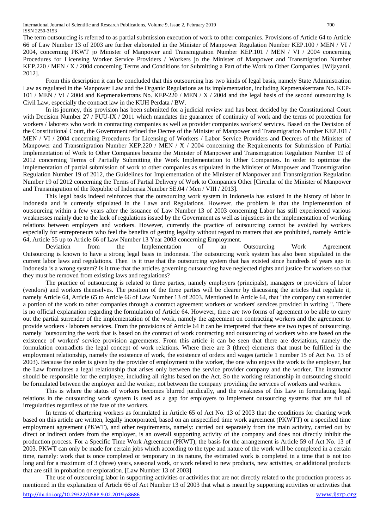The term outsourcing is referred to as partial submission execution of work to other companies. Provisions of Article 64 to Article 66 of Law Number 13 of 2003 are further elaborated in the Minister of Manpower Regulation Number KEP.100 / MEN / VI / 2004, concerning PKWT jo Minister of Manpower and Transmigration Number KEP.101 / MEN / VI / 2004 concerning Procedures for Licensing Worker Service Providers / Workers jo the Minister of Manpower and Transmigration Number KEP.220 / MEN / X / 2004 concerning Terms and Conditions for Submitting a Part of the Work to Other Companies. [Wijayanti, 2012].

From this description it can be concluded that this outsourcing has two kinds of legal basis, namely State Administration Law as regulated in the Manpower Law and the Organic Regulations as its implementation, including Kepmenakertrans No. KEP-101 / MEN / VI / 2004 and Kepmenakertrans No. KEP-220 / MEN / X / 2004 and the legal basis of the second outsourcing is Civil Law, especially the contract law in the KUH Perdata / BW.

In its journey, this provision has been submitted for a judicial review and has been decided by the Constitutional Court with Decision Number 27 / PUU-IX / 2011 which mandates the guarantee of continuity of work and the terms of protection for workers / laborers who work in contracting companies as well as provider companies workers' services. Based on the Decision of the Constitutional Court, the Government refined the Decree of the Minister of Manpower and Transmigration Number KEP.101 / MEN / VI / 2004 concerning Procedures for Licensing of Workers / Labor Service Providers and Decrees of the Minister of Manpower and Transmigration Number KEP.220 / MEN / X / 2004 concerning the Requirements for Submission of Partial Implementation of Work to Other Companies became the Minister of Manpower and Transmigration Regulation Number 19 of 2012 concerning Terms of Partially Submitting the Work Implementation to Other Companies. In order to optimize the implementation of partial submission of work to other companies as stipulated in the Minister of Manpower and Transmigration Regulation Number 19 of 2012, the Guidelines for Implementation of the Minister of Manpower and Transmigration Regulation Number 19 of 2012 concerning the Terms of Partial Delivery of Work to Companies Other [Circular of the Minister of Manpower and Transmigration of the Republic of Indonesia Number SE.04 / Men / VIII / 2013].

This legal basis indeed reinforces that the outsourcing work system in Indonesia has existed in the history of labor in Indonesia and is currently stipulated in the Laws and Regulations. However, the problem is that the implementation of outsourcing within a few years after the issuance of Law Number 13 of 2003 concerning Labor has still experienced various weaknesses mainly due to the lack of regulations issued by the Government as well as injustices in the implementation of working relations between employers and workers. However, currently the practice of outsourcing cannot be avoided by workers especially for entrepreneurs who feel the benefits of getting legality without regard to matters that are prohibited, namely Article 64, Article 55 up to Article 66 of Law Number 13 Year 2003 concerning Employment.

Deviation from the Implementation of an Outsourcing Work Agreement Outsourcing is known to have a strong legal basis in Indonesia. The outsourcing work system has also been stipulated in the current labor laws and regulations. Then is it true that the outsourcing system that has existed since hundreds of years ago in Indonesia is a wrong system? Is it true that the articles governing outsourcing have neglected rights and justice for workers so that they must be removed from existing laws and regulations?

The practice of outsourcing is related to three parties, namely employers (principals), managers or providers of labor (vendors) and workers themselves. The position of the three parties will be clearer by discussing the articles that regulate it, namely Article 64, Article 65 to Article 66 of Law Number 13 of 2003. Mentioned in Article 64, that "the company can surrender a portion of the work to other companies through a contract agreement workers or workers' services provided in writing ". There is no official explanation regarding the formulation of Article 64. However, there are two forms of agreement to be able to carry out the partial surrender of the implementation of the work, namely the agreement on contracting workers and the agreement to provide workers / laborers services. From the provisions of Article 64 it can be interpreted that there are two types of outsourcing, namely "outsourcing the work that is based on the contract of work contracting and outsourcing of workers who are based on the existence of workers' service provision agreements. From this article it can be seen that there are deviations, namely the formulation contradicts the legal concept of work relations. Where there are 3 (three) elements that must be fulfilled in the employment relationship, namely the existence of work, the existence of orders and wages (article 1 number 15 of Act No. 13 of 2003). Because the order is given by the provider of employment to the worker, the one who enjoys the work is the employer, but the Law formulates a legal relationship that arises only between the service provider company and the worker. The instructor should be responsible for the employee, including all rights based on the Act. So the working relationship in outsourcing should be formulated between the employer and the worker, not between the company providing the services of workers and workers.

This is where the status of workers becomes blurred juridically, and the weakness of this Law in formulating legal relations in the outsourcing work system is used as a gap for employers to implement outsourcing systems that are full of irregularities regardless of the fate of the workers.

In terms of chartering workers as formulated in Article 65 of Act No. 13 of 2003 that the conditions for charting work based on this article are written, legally incorporated, based on an unspecified time work agreement (PKWTT) or a specified time employment agreement (PKWT), and other requirements, namely: carried out separately from the main activity, carried out by direct or indirect orders from the employer, is an overall supporting activity of the company and does not directly inhibit the production process. For a Specific Time Work Agreement (PKWT), the basis for the arrangement is Article 59 of Act No. 13 of 2003. PKWT can only be made for certain jobs which according to the type and nature of the work will be completed in a certain time, namely: work that is once completed or temporary in its nature, the estimated work is completed in a time that is not too long and for a maximum of 3 (three) years, seasonal work, or work related to new products, new activities, or additional products that are still in probation or exploration. [Law Number 13 of 2003]

The use of outsourcing labor in supporting activities or activities that are not directly related to the production process as mentioned in the explanation of Article 66 of Act Number 13 of 2003 that what is meant by supporting activities or activities that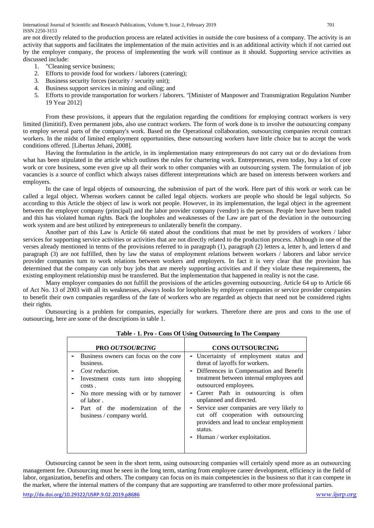International Journal of Scientific and Research Publications, Volume 9, Issue 2, February 2019 701 ISSN 2250-3153

are not directly related to the production process are related activities in outside the core business of a company. The activity is an activity that supports and facilitates the implementation of the main activities and is an additional activity which if not carried out by the employer company, the process of implementing the work will continue as it should. Supporting service activities as discussed include:

- 1. "Cleaning service business;
- 2. Efforts to provide food for workers / laborers (catering);
- 3. Business security forces (security / security unit);
- 4. Business support services in mining and oiling; and
- 5. Efforts to provide transportation for workers / laborers. "[Minister of Manpower and Transmigration Regulation Number 19 Year 2012]

From these provisions, it appears that the regulation regarding the conditions for employing contract workers is very limited (limititif). Even permanent jobs, also use contract workers. The form of work done is to involve the outsourcing company to employ several parts of the company's work. Based on the Operational collaboration, outsourcing companies recruit contract workers. In the midst of limited employment opportunities, these outsourcing workers have little choice but to accept the work conditions offered. [Libertus Jehani, 2008].

Having the formulation in the article, in its implementation many entrepreneurs do not carry out or do deviations from what has been stipulated in the article which outlines the rules for chartering work. Entrepreneurs, even today, buy a lot of core work or core business, some even give up all their work to other companies with an outsourcing system. The formulation of job vacancies is a source of conflict which always raises different interpretations which are based on interests between workers and employers.

In the case of legal objects of outsourcing, the submission of part of the work. Here part of this work or work can be called a legal object. Whereas workers cannot be called legal objects. workers are people who should be legal subjects. So according to this Article the object of law is work not people. However, in its implementation, the legal object in the agreement between the employer company (principal) and the labor provider company (vendor) is the person. People here have been traded and this has violated human rights. Back the loopholes and weaknesses of the Law are part of the deviation in the outsourcing work system and are best utilized by entrepreneurs to unilaterally benefit the company.

Another part of this Law is Article 66 stated about the conditions that must be met by providers of workers / labor services for supporting service activities or activities that are not directly related to the production process. Although in one of the verses already mentioned in terms of the provisions referred to in paragraph (1), paragraph (2) letters a, letter b, and letters d and paragraph (3) are not fulfilled, then by law the status of employment relations between workers / laborers and labor service provider companies turn to work relations between workers and employers. In fact it is very clear that the provision has determined that the company can only buy jobs that are merely supporting activities and if they violate these requirements, the existing employment relationship must be transferred. But the implementation that happened in reality is not the case.

Many employer companies do not fulfill the provisions of the articles governing outsourcing. Article 64 up to Article 66 of Act No. 13 of 2003 with all its weaknesses, always looks for loopholes by employer companies or service provider companies to benefit their own companies regardless of the fate of workers who are regarded as objects that need not be considered rights their rights.

Outsourcing is a problem for companies, especially for workers. Therefore there are pros and cons to the use of outsourcing, here are some of the descriptions in table 1.

| <b>PRO OUTSOURCING</b>                                                                                                                                                                                                                         | <b>CONS OUTSOURCING</b>                                                                                                                                                                                                                                                                                                                                                                                                                        |
|------------------------------------------------------------------------------------------------------------------------------------------------------------------------------------------------------------------------------------------------|------------------------------------------------------------------------------------------------------------------------------------------------------------------------------------------------------------------------------------------------------------------------------------------------------------------------------------------------------------------------------------------------------------------------------------------------|
| Business owners can focus on the core<br>business.<br>Cost reduction.<br>Investment costs turn into shopping<br>costs.<br>No more messing with or by turnover<br>of labor.<br>Part of the modernization of<br>the<br>business / company world. | - Uncertainty of employment status and<br>threat of layoffs for workers.<br>- Differences in Compensation and Benefit<br>treatment between internal employees and<br>outsourced employees.<br>- Career Path in outsourcing is often<br>unplanned and directed.<br>- Service user companies are very likely to<br>cut off cooperation with outsourcing<br>providers and lead to unclear employment<br>status.<br>- Human / worker exploitation. |

**Table - 1. Pro - Cons Of Using Outsourcing In The Company**

Outsourcing cannot be seen in the short term, using outsourcing companies will certainly spend more as an outsourcing management fee. Outsourcing must be seen in the long term, starting from employee career development, efficiency in the field of labor, organization, benefits and others. The company can focus on its main competencies in the business so that it can compete in the market, where the internal matters of the company that are supporting are transferred to other more professional parties.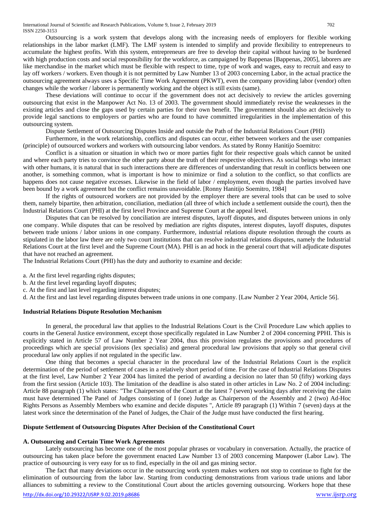Outsourcing is a work system that develops along with the increasing needs of employers for flexible working relationships in the labor market (LMF). The LMF system is intended to simplify and provide flexibility to entrepreneurs to accumulate the highest profits. With this system, entrepreneurs are free to develop their capital without having to be burdened with high production costs and social responsibility for the workforce, as campaigned by Bappenas [Bappenas, 2005], laborers are like merchandise in the market which must be flexible with respect to time, type of work and wages, easy to recruit and easy to lay off workers / workers. Even though it is not permitted by Law Number 13 of 2003 concerning Labor, in the actual practice the outsourcing agreement always uses a Specific Time Work Agreement (PKWT), even the company providing labor (vendor) often changes while the worker / laborer is permanently working and the object is still exists (same).

These deviations will continue to occur if the government does not act decisively to review the articles governing outsourcing that exist in the Manpower Act No. 13 of 2003. The government should immediately revise the weaknesses in the existing articles and close the gaps used by certain parties for their own benefit. The government should also act decisively to provide legal sanctions to employers or parties who are found to have committed irregularities in the implementation of this outsourcing system.

Dispute Settlement of Outsourcing Disputes Inside and outside the Path of the Industrial Relations Court (PHI)

Furthermore, in the work relationship, conflicts and disputes can occur, either between workers and the user companies (principle) of outsourced workers and workers with outsourcing labor vendors. As stated by Ronny Hanitijo Soemitro:

Conflict is a situation or situation in which two or more parties fight for their respective goals which cannot be united and where each party tries to convince the other party about the truth of their respective objectives. As social beings who interact with other humans, it is natural that in such interactions there are differences of understanding that result in conflicts between one another, is something common, what is important is how to minimize or find a solution to the conflict, so that conflicts are happens does not cause negative excesses. Likewise in the field of labor / employment, even though the parties involved have been bound by a work agreement but the conflict remains unavoidable. [Ronny Hanitijo Soemitro, 1984]

If the rights of outsourced workers are not provided by the employer there are several tools that can be used to solve them, namely bipartite, then arbitration, conciliation, mediation (all three of which include a settlement outside the court), then the Industrial Relations Court (PHI) at the first level Province and Supreme Court at the appeal level.

Disputes that can be resolved by conciliation are interest disputes, layoff disputes, and disputes between unions in only one company. While disputes that can be resolved by mediation are rights disputes, interest disputes, layoff disputes, disputes between trade unions / labor unions in one company. Furthermore, industrial relations dispute resolution through the courts as stipulated in the labor law there are only two court institutions that can resolve industrial relations disputes, namely the Industrial Relations Court at the first level and the Supreme Court (MA). PHI is an ad hock in the general court that will adjudicate disputes that have not reached an agreement.

The Industrial Relations Court (PHI) has the duty and authority to examine and decide:

- a. At the first level regarding rights disputes;
- b. At the first level regarding layoff disputes;
- c. At the first and last level regarding interest disputes;

d. At the first and last level regarding disputes between trade unions in one company. [Law Number 2 Year 2004, Article 56].

## **Industrial Relations Dispute Resolution Mechanism**

In general, the procedural law that applies to the Industrial Relations Court is the Civil Procedure Law which applies to courts in the General Justice environment, except those specifically regulated in Law Number 2 of 2004 concerning PPHI. This is explicitly stated in Article 57 of Law Number 2 Year 2004, thus this provision regulates the provisions and procedures of proceedings which are special provisions (lex specialis) and general procedural law provisions that apply so that general civil procedural law only applies if not regulated in the specific law.

One thing that becomes a special character in the procedural law of the Industrial Relations Court is the explicit determination of the period of settlement of cases in a relatively short period of time. For the case of Industrial Relations Disputes at the first level, Law Number 2 Year 2004 has limited the period of awarding a decision no later than 50 (fifty) working days from the first session (Article 103). The limitation of the deadline is also stated in other articles in Law No. 2 of 2004 including: Article 88 paragraph (1) which states: "The Chairperson of the Court at the latest 7 (seven) working days after receiving the claim must have determined The Panel of Judges consisting of I (one) Judge as Chairperson of the Assembly and 2 (two) Ad-Hoc Rights Persons as Assembly Members who examine and decide disputes ", Article 89 paragraph (1) Within 7 (seven) days at the latest work since the determination of the Panel of Judges, the Chair of the Judge must have conducted the first hearing.

#### **Dispute Settlement of Outsourcing Disputes After Decision of the Constitutional Court**

## **A. Outsourcing and Certain Time Work Agreements**

Lately outsourcing has become one of the most popular phrases or vocabulary in conversation. Actually, the practice of outsourcing has taken place before the government enacted Law Number 13 of 2003 concerning Manpower (Labor Law). The practice of outsourcing is very easy for us to find, especially in the oil and gas mining sector.

The fact that many deviations occur in the outsourcing work system makes workers not stop to continue to fight for the elimination of outsourcing from the labor law. Starting from conducting demonstrations from various trade unions and labor alliances to submitting a review to the Constitutional Court about the articles governing outsourcing. Workers hope that these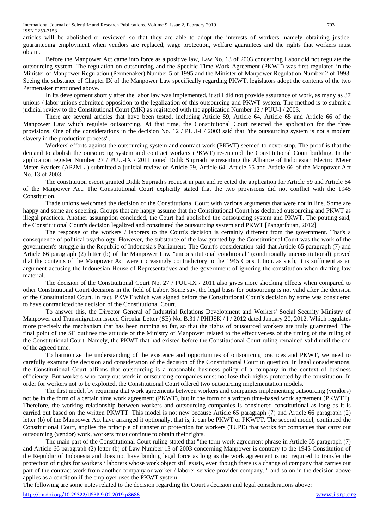International Journal of Scientific and Research Publications, Volume 9, Issue 2, February 2019 703 ISSN 2250-3153

articles will be abolished or reviewed so that they are able to adopt the interests of workers, namely obtaining justice, guaranteeing employment when vendors are replaced, wage protection, welfare guarantees and the rights that workers must obtain.

Before the Manpower Act came into force as a positive law, Law No. 13 of 2003 concerning Labor did not regulate the outsourcing system. The regulation on outsourcing and the Specific Time Work Agreement (PKWT) was first regulated in the Minister of Manpower Regulation (Permenaker) Number 5 of 1995 and the Minister of Manpower Regulation Number 2 of 1993. Seeing the substance of Chapter IX of the Manpower Law specifically regarding PKWT, legislators adopt the contents of the two Permenaker mentioned above.

In its development shortly after the labor law was implemented, it still did not provide assurance of work, as many as 37 unions / labor unions submitted opposition to the legalization of this outsourcing and PKWT system. The method is to submit a judicial review to the Constitutional Court (MK) as registered with the application Number 12 / PUU-I / 2003.

There are several articles that have been tested, including Article 59, Article 64, Article 65 and Article 66 of the Manpower Law which regulate outsourcing. At that time, the Constitutional Court rejected the application for the three provisions. One of the considerations in the decision No. 12 / PUU-I / 2003 said that "the outsourcing system is not a modern slavery in the production process".

Workers' efforts against the outsourcing system and contract work (PKWT) seemed to never stop. The proof is that the demand to abolish the outsourcing system and contract workers (PKWT) re-entered the Constitutional Court building. In the application register Number 27 / PUU-IX / 2011 noted Didik Supriadi representing the Alliance of Indonesian Electric Meter Meter Readers (AP2MLI) submitted a judicial review of Article 59, Article 64, Article 65 and Article 66 of the Manpower Act No. 13 of 2003.

The constitution escort granted Didik Supriadi's request in part and rejected the application for Article 59 and Article 64 of the Manpower Act. The Constitutional Court explicitly stated that the two provisions did not conflict with the 1945 Constitution.

Trade unions welcomed the decision of the Constitutional Court with various arguments that were not in line. Some are happy and some are sneering. Groups that are happy assume that the Constitutional Court has declared outsourcing and PKWT as illegal practices. Another assumption concluded, the Court had abolished the outsourcing system and PKWT. The pouting said, the Constitutional Court's decision legalized and constituted the outsourcing system and PKWT [Pangaribuan, 2012]

The response of the workers / laborers to the Court's decision is certainly different from the government. That's a consequence of political psychology. However, the substance of the law granted by the Constitutional Court was the work of the government's struggle in the Republic of Indonesia's Parliament. The Court's consideration said that Article 65 paragraph (7) and Article 66 paragraph (2) letter (b) of the Manpower Law "unconstitutional conditional" (conditionally unconstitutional) proved that the contents of the Manpower Act were increasingly contradictory to the 1945 Constitution. as such, it is sufficient as an argument accusing the Indonesian House of Representatives and the government of ignoring the constitution when drafting law material.

The decision of the Constitutional Court No. 27 / PUU-IX / 2011 also gives more shocking effects when compared to other Constitutional Court decisions in the field of Labor. Some say, the legal basis for outsourcing is not valid after the decision of the Constitutional Court. In fact, PKWT which was signed before the Constitutional Court's decision by some was considered to have contradicted the decision of the Constitutional Court.

To answer this, the Director General of Industrial Relations Development and Workers' Social Security Ministry of Manpower and Transmigration issued Circular Letter (SE) No. B.31 / PHIJSK  $/1/2012$  dated January 20, 2012. Which regulates more precisely the mechanism that has been running so far, so that the rights of outsourced workers are truly guaranteed. The final point of the SE outlines the attitude of the Ministry of Manpower related to the effectiveness of the timing of the ruling of the Constitutional Court. Namely, the PKWT that had existed before the Constitutional Court ruling remained valid until the end of the agreed time.

To harmonize the understanding of the existence and opportunities of outsourcing practices and PKWT, we need to carefully examine the decision and consideration of the decision of the Constitutional Court in question. In legal considerations, the Constitutional Court affirms that outsourcing is a reasonable business policy of a company in the context of business efficiency. But workers who carry out work in outsourcing companies must not lose their rights protected by the constitution. In order for workers not to be exploited, the Constitutional Court offered two outsourcing implementation models.

The first model, by requiring that work agreements between workers and companies implementing outsourcing (vendors) not be in the form of a certain time work agreement (PKWT), but in the form of a written time-based work agreement (PKWTT). Therefore, the working relationship between workers and outsourcing companies is considered constitutional as long as it is carried out based on the written PKWTT. This model is not new because Article 65 paragraph (7) and Article 66 paragraph (2) letter (b) of the Manpower Act have arranged it optionally, that is, it can be PKWT or PKWTT. The second model, continued the Constitutional Court, applies the principle of transfer of protection for workers (TUPE) that works for companies that carry out outsourcing (vendor) work, workers must continue to obtain their rights.

The main part of the Constitutional Court ruling stated that "the term work agreement phrase in Article 65 paragraph (7) and Article 66 paragraph (2) letter (b) of Law Number 13 of 2003 concerning Manpower is contrary to the 1945 Constitution of the Republic of Indonesia and does not have binding legal force as long as the work agreement is not required to transfer the protection of rights for workers / laborers whose work object still exists, even though there is a change of company that carries out part of the contract work from another company or worker / laborer service provider company. " and so on in the decision above applies as a condition if the employer uses the PKWT system.

The following are some notes related to the decision regarding the Court's decision and legal considerations above: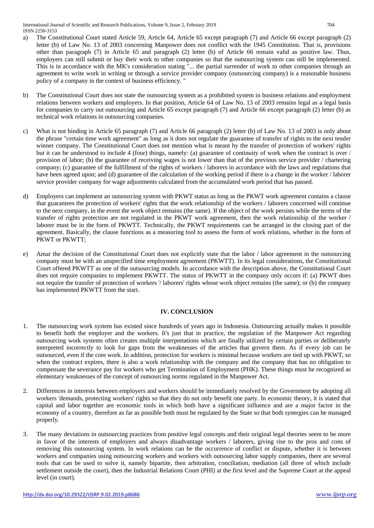International Journal of Scientific and Research Publications, Volume 9, Issue 2, February 2019 704 ISSN 2250-3153

- a) The Constitutional Court stated Article 59, Article 64, Article 65 except paragraph (7) and Article 66 except paragraph (2) letter (b) of Law No. 13 of 2003 concerning Manpower does not conflict with the 1945 Constitution. That is, provisions other than paragraph (7) in Article 65 and paragraph (2) letter (b) of Article 66 remain valid as positive law. Thus, employers can still submit or buy their work to other companies so that the outsourcing system can still be implemented. This is in accordance with the MK's consideration stating "... the partial surrender of work to other companies through an agreement to write work in writing or through a service provider company (outsourcing company) is a reasonable business policy of a company in the context of business efficiency. "
- b) The Constitutional Court does not state the outsourcing system as a prohibited system in business relations and employment relations between workers and employers. In that position, Article 64 of Law No. 13 of 2003 remains legal as a legal basis for companies to carry out outsourcing and Article 65 except paragraph (7) and Article 66 except paragraph (2) letter (b) as technical work relations in outsourcing companies.
- c) What is not binding in Article 65 paragraph (7) and Article 66 paragraph (2) letter (b) of Law No. 13 of 2003 is only about the phrase "certain time work agreement" as long as it does not regulate the guarantee of transfer of rights to the next tender winner company. The Constitutional Court does not mention what is meant by the transfer of protection of workers' rights but it can be understood to include 4 (four) things, namely: (a) guarantee of continuity of work when the contract is over / provision of labor; (b) the guarantee of receiving wages is not lower than that of the previous service provider / chartering company; (c) guarantee of the fulfillment of the rights of workers / laborers in accordance with the laws and regulations that have been agreed upon; and (d) guarantee of the calculation of the working period if there is a change in the worker / laborer service provider company for wage adjustments calculated from the accumulated work period that has passed.
- d) Employers can implement an outsourcing system with PKWT status as long as the PKWT work agreement contains a clause that guarantees the protection of workers' rights that the work relationship of the workers / laborers concerned will continue to the next company, in the event the work object remains (the same). If the object of the work persists while the terms of the transfer of rights protection are not regulated in the PKWT work agreement, then the work relationship of the worker / laborer must be in the form of PKWTT. Technically, the PKWT requirements can be arranged in the closing part of the agreement. Basically, the clause functions as a measuring tool to assess the form of work relations, whether in the form of PKWT or PKWTT;
- e) Amar the decision of the Constitutional Court does not explicitly state that the labor / labor agreement in the outsourcing company must be with an unspecified time employment agreement (PKWTT). In its legal considerations, the Constitutional Court offered PKWTT as one of the outsourcing models. In accordance with the description above, the Constitutional Court does not require companies to implement PKWTT. The status of PKWTT in the company only occurs if: (a) PKWT does not require the transfer of protection of workers '/ laborers' rights whose work object remains (the same); or (b) the company has implemented PKWTT from the start.

## **IV. CONCLUSION**

- 1. The outsourcing work system has existed since hundreds of years ago in Indonesia. Outsourcing actually makes it possible to benefit both the employer and the workers. It's just that in practice, the regulation of the Manpower Act regarding outsourcing work systems often creates multiple interpretations which are finally utilized by certain parties or deliberately interpreted incorrectly to look for gaps from the weaknesses of the articles that govern them. As if every job can be outsourced, even if the core work. In addition, protection for workers is minimal because workers are tied up with PKWT, so when the contract expires, there is also a work relationship with the company and the company that has no obligation to compensate the severance pay for workers who get Termination of Employment (PHK). These things must be recognized as elementary weaknesses of the concept of outsourcing norms regulated in the Manpower Act.
- 2. Differences in interests between employers and workers should be immediately resolved by the Government by adopting all workers 'demands, protecting workers' rights so that they do not only benefit one party. In economic theory, it is stated that capital and labor together are economic tools in which both have a significant influence and are a major factor in the economy of a country, therefore as far as possible both must be regulated by the State so that both synergies can be managed properly.
- 3. The many deviations in outsourcing practices from positive legal concepts and their original legal theories seem to be more in favor of the interests of employers and always disadvantage workers / laborers, giving rise to the pros and cons of removing this outsourcing system. In work relations can be the occurrence of conflict or dispute, whether it is between workers and companies using outsourcing workers and workers with outsourcing labor supply companies, there are several tools that can be used to solve it, namely bipartite, then arbitration, conciliation, mediation (all three of which include settlement outside the court), then the Industrial Relations Court (PHI) at the first level and the Supreme Court at the appeal level (in court).